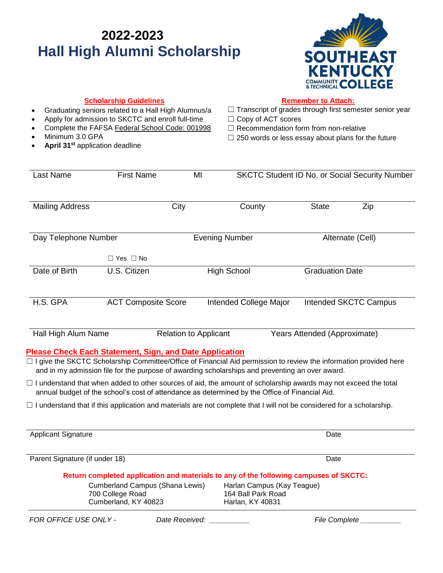## **2022-2023 Hall High Alumni Scholarship**



| <b>Scholarship Guidelines</b><br>Graduating seniors related to a Hall High Alumnus/a<br>Apply for admission to SKCTC and enroll full-time<br>$\bullet$<br>Complete the FAFSA Federal School Code: 001998<br>Minimum 3.0 GPA<br>April 31 <sup>st</sup> application deadline               |                                                                                    |                       | <b>Remember to Attach:</b><br>$\Box$ Transcript of grades through first semester senior year<br>$\Box$ Copy of ACT scores<br>$\Box$ Recommendation form from non-relative<br>$\Box$ 250 words or less essay about plans for the future |                        |                                                |  |  |  |  |
|------------------------------------------------------------------------------------------------------------------------------------------------------------------------------------------------------------------------------------------------------------------------------------------|------------------------------------------------------------------------------------|-----------------------|----------------------------------------------------------------------------------------------------------------------------------------------------------------------------------------------------------------------------------------|------------------------|------------------------------------------------|--|--|--|--|
| Last Name                                                                                                                                                                                                                                                                                | <b>First Name</b>                                                                  | MI                    |                                                                                                                                                                                                                                        |                        | SKCTC Student ID No. or Social Security Number |  |  |  |  |
| <b>Mailing Address</b>                                                                                                                                                                                                                                                                   | City                                                                               |                       | <b>State</b><br>County<br>Zip                                                                                                                                                                                                          |                        |                                                |  |  |  |  |
| Day Telephone Number                                                                                                                                                                                                                                                                     |                                                                                    | <b>Evening Number</b> |                                                                                                                                                                                                                                        | Alternate (Cell)       |                                                |  |  |  |  |
|                                                                                                                                                                                                                                                                                          | $\Box$ Yes $\Box$ No                                                               |                       |                                                                                                                                                                                                                                        |                        |                                                |  |  |  |  |
| Date of Birth                                                                                                                                                                                                                                                                            | U.S. Citizen                                                                       |                       | <b>High School</b>                                                                                                                                                                                                                     | <b>Graduation Date</b> |                                                |  |  |  |  |
| H.S. GPA                                                                                                                                                                                                                                                                                 | <b>ACT Composite Score</b>                                                         |                       | Intended College Major                                                                                                                                                                                                                 |                        | Intended SKCTC Campus                          |  |  |  |  |
| Hall High Alum Name<br><b>Relation to Applicant</b><br>Years Attended (Approximate)                                                                                                                                                                                                      |                                                                                    |                       |                                                                                                                                                                                                                                        |                        |                                                |  |  |  |  |
| <b>Please Check Each Statement, Sign, and Date Application</b><br>□ I give the SKCTC Scholarship Committee/Office of Financial Aid permission to review the information provided here<br>and in my admission file for the purpose of awarding scholarships and preventing an over award. |                                                                                    |                       |                                                                                                                                                                                                                                        |                        |                                                |  |  |  |  |
| $\Box$ I understand that when added to other sources of aid, the amount of scholarship awards may not exceed the total<br>annual budget of the school's cost of attendance as determined by the Office of Financial Aid.                                                                 |                                                                                    |                       |                                                                                                                                                                                                                                        |                        |                                                |  |  |  |  |
| $\Box$ I understand that if this application and materials are not complete that I will not be considered for a scholarship.                                                                                                                                                             |                                                                                    |                       |                                                                                                                                                                                                                                        |                        |                                                |  |  |  |  |
| <b>Applicant Signature</b>                                                                                                                                                                                                                                                               |                                                                                    |                       |                                                                                                                                                                                                                                        | Date                   |                                                |  |  |  |  |
| Parent Signature (if under 18)                                                                                                                                                                                                                                                           |                                                                                    |                       |                                                                                                                                                                                                                                        | Date                   |                                                |  |  |  |  |
| Return completed application and materials to any of the following campuses of SKCTC:                                                                                                                                                                                                    |                                                                                    |                       |                                                                                                                                                                                                                                        |                        |                                                |  |  |  |  |
|                                                                                                                                                                                                                                                                                          | <b>Cumberland Campus (Shana Lewis)</b><br>700 College Road<br>Cumberland, KY 40823 |                       | Harlan Campus (Kay Teague)<br>164 Ball Park Road<br>Harlan, KY 40831                                                                                                                                                                   |                        |                                                |  |  |  |  |
| FOR OFFICE USE ONLY -                                                                                                                                                                                                                                                                    |                                                                                    | Date Received:        |                                                                                                                                                                                                                                        | File Complete          |                                                |  |  |  |  |